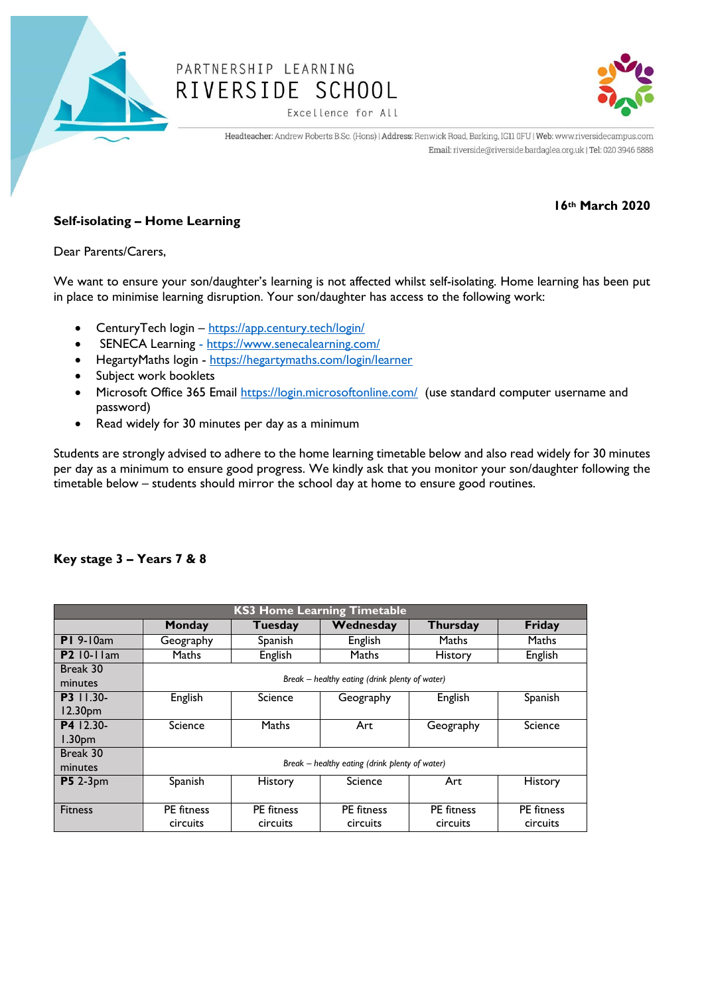

# PARTNERSHIP LEARNING RIVERSIDE SCHOOL



Excellence for All

Headteacher: Andrew Roberts B.Sc. (Hons) | Address: Renwick Road, Barking, IG11 0FU | Web: www.riversidecampus.com Email: riverside@riverside.bardaglea.org.uk | Tel: 020 3946 5888

## **16th March 2020**

## **Self-isolating – Home Learning**

Dear Parents/Carers,

We want to ensure your son/daughter's learning is not affected whilst self-isolating. Home learning has been put in place to minimise learning disruption. Your son/daughter has access to the following work:

- CenturyTech login <https://app.century.tech/login/>
- SENECA Learning <https://www.senecalearning.com/>
- HegartyMaths login <https://hegartymaths.com/login/learner>
- Subject work booklets
- Microsoft Office 365 Email<https://login.microsoftonline.com/> (use standard computer username and password)
- Read widely for 30 minutes per day as a minimum

Students are strongly advised to adhere to the home learning timetable below and also read widely for 30 minutes per day as a minimum to ensure good progress. We kindly ask that you monitor your son/daughter following the timetable below – students should mirror the school day at home to ensure good routines.

| <b>KS3 Home Learning Timetable</b> |                                                |                               |                               |                               |                               |  |  |  |
|------------------------------------|------------------------------------------------|-------------------------------|-------------------------------|-------------------------------|-------------------------------|--|--|--|
|                                    | Monday                                         | Tuesday                       | Wednesday                     | <b>Thursday</b>               | <b>Friday</b>                 |  |  |  |
| $PI$ 9-10am                        | Geography                                      | Spanish                       | English                       | Maths                         | Maths                         |  |  |  |
| <b>P2</b> 10-11am                  | <b>Maths</b>                                   | English                       | Maths                         | <b>History</b>                | English                       |  |  |  |
| Break 30<br>minutes                | Break - healthy eating (drink plenty of water) |                               |                               |                               |                               |  |  |  |
| <b>P3</b> 11.30-<br>12.30pm        | English                                        | Science                       | Geography                     | English                       | Spanish                       |  |  |  |
| P4 12.30-<br>1.30 <sub>pm</sub>    | Science                                        | Maths                         | Art                           | Geography                     | Science                       |  |  |  |
| Break 30<br>minutes                | Break - healthy eating (drink plenty of water) |                               |                               |                               |                               |  |  |  |
| <b>P5</b> 2-3pm                    | Spanish                                        | <b>History</b>                | Science                       | Art                           | <b>History</b>                |  |  |  |
| <b>Fitness</b>                     | <b>PE</b> fitness<br>circuits                  | <b>PE</b> fitness<br>circuits | <b>PE</b> fitness<br>circuits | <b>PE</b> fitness<br>circuits | <b>PE</b> fitness<br>circuits |  |  |  |

### **Key stage 3 – Years 7 & 8**